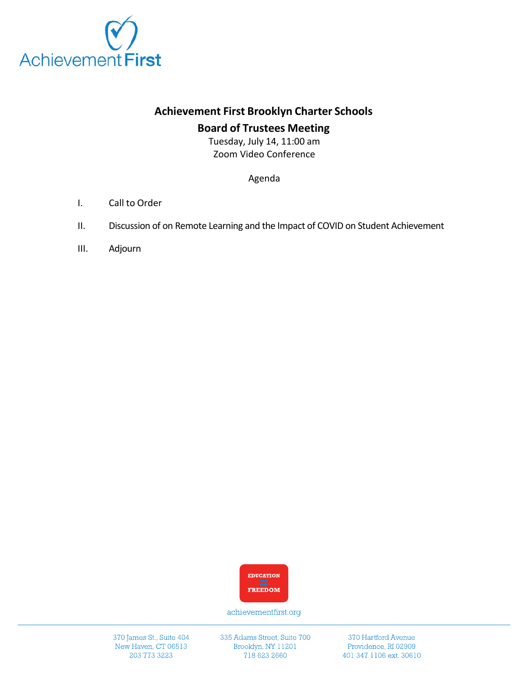

# **Achievement First Brooklyn Charter Schools**

### **Board of Trustees Meeting**

Tuesday, July 14, 11:00 am Zoom Video Conference

Agenda

- I. Call to Order
- II. Discussion of on Remote Learning and the Impact of COVID on Student Achievement
- III. Adjourn



achievementfirst.org

370 James St., Suite 404 New Haven, CT 06513 203 773 3223

335 Adams Street, Suite 700 Brooklyn, NY 11201 718 623 2660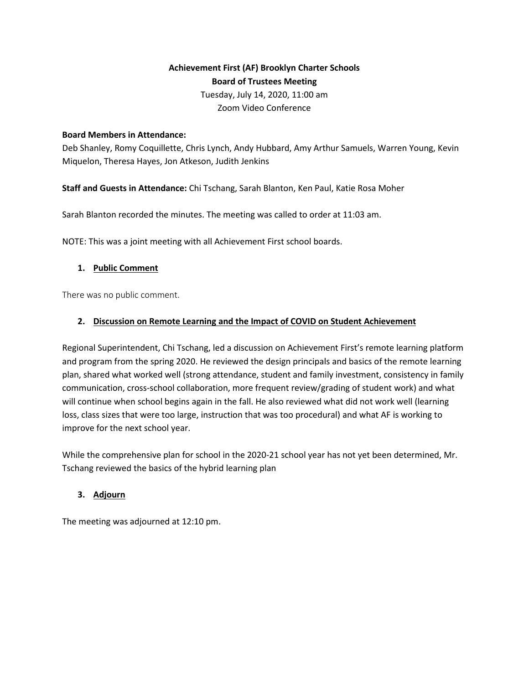# **Achievement First (AF) Brooklyn Charter Schools Board of Trustees Meeting** Tuesday, July 14, 2020, 11:00 am

Zoom Video Conference

#### **Board Members in Attendance:**

Deb Shanley, Romy Coquillette, Chris Lynch, Andy Hubbard, Amy Arthur Samuels, Warren Young, Kevin Miquelon, Theresa Hayes, Jon Atkeson, Judith Jenkins

**Staff and Guests in Attendance:** Chi Tschang, Sarah Blanton, Ken Paul, Katie Rosa Moher

Sarah Blanton recorded the minutes. The meeting was called to order at 11:03 am.

NOTE: This was a joint meeting with all Achievement First school boards.

### **1. Public Comment**

There was no public comment.

### **2. Discussion on Remote Learning and the Impact of COVID on Student Achievement**

Regional Superintendent, Chi Tschang, led a discussion on Achievement First's remote learning platform and program from the spring 2020. He reviewed the design principals and basics of the remote learning plan, shared what worked well (strong attendance, student and family investment, consistency in family communication, cross-school collaboration, more frequent review/grading of student work) and what will continue when school begins again in the fall. He also reviewed what did not work well (learning loss, class sizes that were too large, instruction that was too procedural) and what AF is working to improve for the next school year.

While the comprehensive plan for school in the 2020-21 school year has not yet been determined, Mr. Tschang reviewed the basics of the hybrid learning plan

### **3. Adjourn**

The meeting was adjourned at 12:10 pm.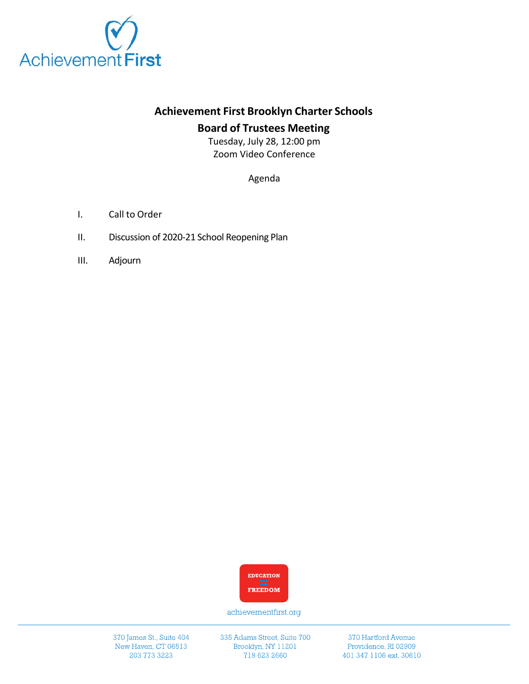

# **Achievement First Brooklyn Charter Schools**

# **Board of Trustees Meeting**

Tuesday, July 28, 12:00 pm Zoom Video Conference

Agenda

- I. Call to Order
- II. Discussion of 2020-21 School Reopening Plan
- III. Adjourn



achievementfirst.org

370 James St., Suite 404 New Haven, CT 06513 203 773 3223

335 Adams Street, Suite 700 Brooklyn, NY 11201 718 623 2660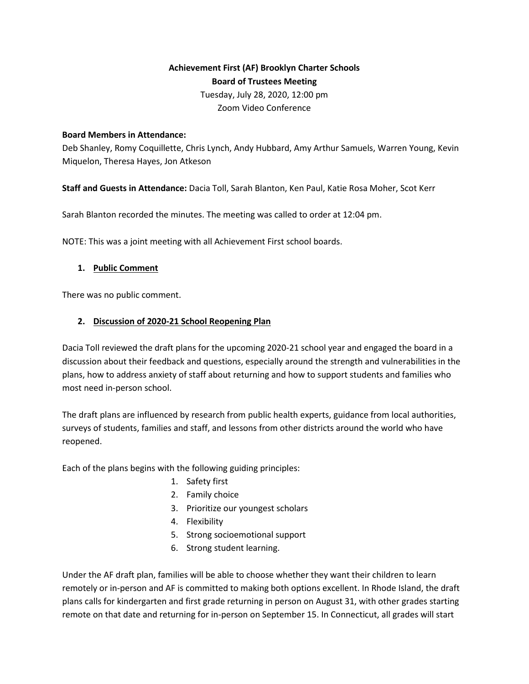# **Achievement First (AF) Brooklyn Charter Schools Board of Trustees Meeting** Tuesday, July 28, 2020, 12:00 pm

Zoom Video Conference

#### **Board Members in Attendance:**

Deb Shanley, Romy Coquillette, Chris Lynch, Andy Hubbard, Amy Arthur Samuels, Warren Young, Kevin Miquelon, Theresa Hayes, Jon Atkeson

**Staff and Guests in Attendance:** Dacia Toll, Sarah Blanton, Ken Paul, Katie Rosa Moher, Scot Kerr

Sarah Blanton recorded the minutes. The meeting was called to order at 12:04 pm.

NOTE: This was a joint meeting with all Achievement First school boards.

### **1. Public Comment**

There was no public comment.

### **2. Discussion of 2020-21 School Reopening Plan**

Dacia Toll reviewed the draft plans for the upcoming 2020-21 school year and engaged the board in a discussion about their feedback and questions, especially around the strength and vulnerabilities in the plans, how to address anxiety of staff about returning and how to support students and families who most need in-person school.

The draft plans are influenced by research from public health experts, guidance from local authorities, surveys of students, families and staff, and lessons from other districts around the world who have reopened.

Each of the plans begins with the following guiding principles:

- 1. Safety first
- 2. Family choice
- 3. Prioritize our youngest scholars
- 4. Flexibility
- 5. Strong socioemotional support
- 6. Strong student learning.

Under the AF draft plan, families will be able to choose whether they want their children to learn remotely or in-person and AF is committed to making both options excellent. In Rhode Island, the draft plans calls for kindergarten and first grade returning in person on August 31, with other grades starting remote on that date and returning for in-person on September 15. In Connecticut, all grades will start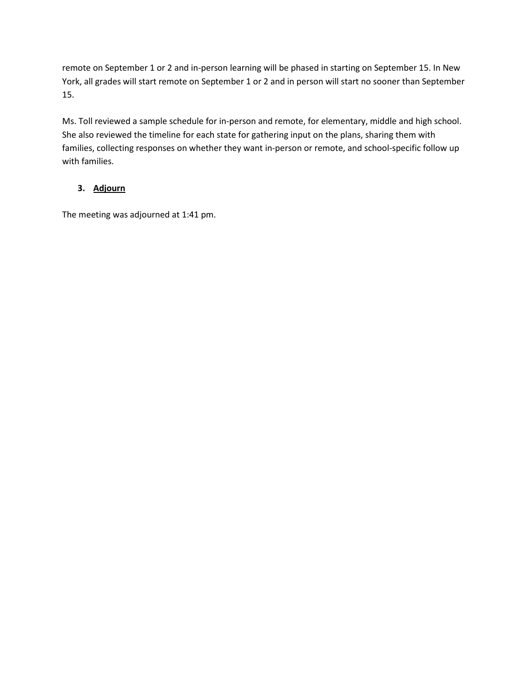remote on September 1 or 2 and in-person learning will be phased in starting on September 15. In New York, all grades will start remote on September 1 or 2 and in person will start no sooner than September 15.

Ms. Toll reviewed a sample schedule for in-person and remote, for elementary, middle and high school. She also reviewed the timeline for each state for gathering input on the plans, sharing them with families, collecting responses on whether they want in-person or remote, and school-specific follow up with families.

# **3. Adjourn**

The meeting was adjourned at 1:41 pm.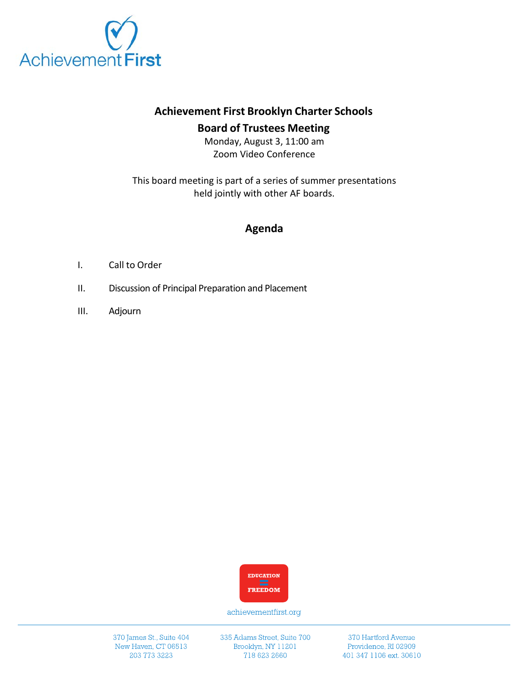

# **Achievement First Brooklyn Charter Schools**

# **Board of Trustees Meeting**

Monday, August 3, 11:00 am Zoom Video Conference

This board meeting is part of a series of summer presentations held jointly with other AF boards.

# **Agenda**

- I. Call to Order
- II. Discussion of Principal Preparation and Placement
- III. Adjourn



achievementfirst.org

370 James St., Suite 404 New Haven, CT 06513 203 773 3223

335 Adams Street, Suite 700 Brooklyn, NY 11201 718 623 2660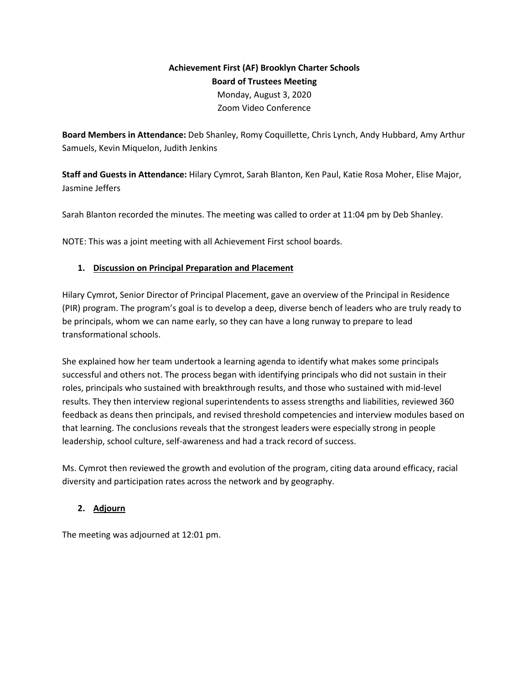# **Achievement First (AF) Brooklyn Charter Schools Board of Trustees Meeting** Monday, August 3, 2020 Zoom Video Conference

**Board Members in Attendance:** Deb Shanley, Romy Coquillette, Chris Lynch, Andy Hubbard, Amy Arthur Samuels, Kevin Miquelon, Judith Jenkins

**Staff and Guests in Attendance:** Hilary Cymrot, Sarah Blanton, Ken Paul, Katie Rosa Moher, Elise Major, Jasmine Jeffers

Sarah Blanton recorded the minutes. The meeting was called to order at 11:04 pm by Deb Shanley.

NOTE: This was a joint meeting with all Achievement First school boards.

### **1. Discussion on Principal Preparation and Placement**

Hilary Cymrot, Senior Director of Principal Placement, gave an overview of the Principal in Residence (PIR) program. The program's goal is to develop a deep, diverse bench of leaders who are truly ready to be principals, whom we can name early, so they can have a long runway to prepare to lead transformational schools.

She explained how her team undertook a learning agenda to identify what makes some principals successful and others not. The process began with identifying principals who did not sustain in their roles, principals who sustained with breakthrough results, and those who sustained with mid-level results. They then interview regional superintendents to assess strengths and liabilities, reviewed 360 feedback as deans then principals, and revised threshold competencies and interview modules based on that learning. The conclusions reveals that the strongest leaders were especially strong in people leadership, school culture, self-awareness and had a track record of success.

Ms. Cymrot then reviewed the growth and evolution of the program, citing data around efficacy, racial diversity and participation rates across the network and by geography.

# **2. Adjourn**

The meeting was adjourned at 12:01 pm.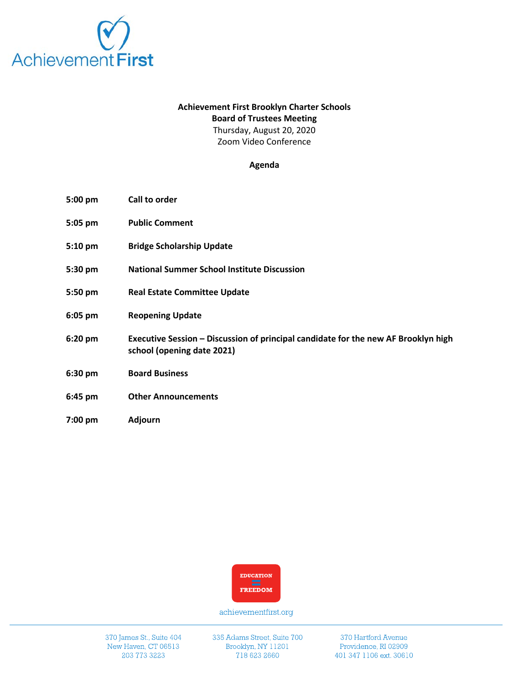

#### **Achievement First Brooklyn Charter Schools Board of Trustees Meeting**

Thursday, August 20, 2020 Zoom Video Conference

**Agenda**

- **5:00 pm Call to order**
- **5:05 pm Public Comment**
- **5:10 pm Bridge Scholarship Update**
- **5:30 pm National Summer School Institute Discussion**
- **5:50 pm Real Estate Committee Update**
- **6:05 pm Reopening Update**
- **6:20 pm Executive Session Discussion of principal candidate for the new AF Brooklyn high school (opening date 2021)**
- **6:30 pm Board Business**
- **6:45 pm Other Announcements**
- **7:00 pm Adjourn**



achievementfirst.org

370 James St., Suite 404 New Haven, CT 06513 203 773 3223

335 Adams Street, Suite 700 Brooklyn, NY 11201 718 623 2660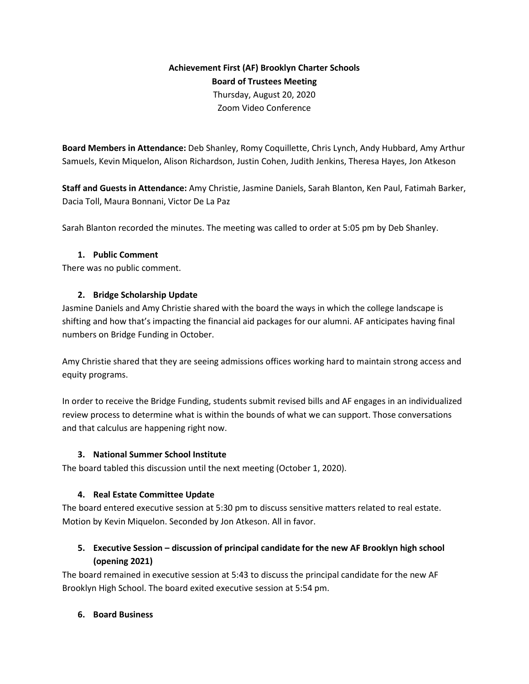# **Achievement First (AF) Brooklyn Charter Schools Board of Trustees Meeting** Thursday, August 20, 2020 Zoom Video Conference

**Board Members in Attendance:** Deb Shanley, Romy Coquillette, Chris Lynch, Andy Hubbard, Amy Arthur Samuels, Kevin Miquelon, Alison Richardson, Justin Cohen, Judith Jenkins, Theresa Hayes, Jon Atkeson

**Staff and Guests in Attendance:** Amy Christie, Jasmine Daniels, Sarah Blanton, Ken Paul, Fatimah Barker, Dacia Toll, Maura Bonnani, Victor De La Paz

Sarah Blanton recorded the minutes. The meeting was called to order at 5:05 pm by Deb Shanley.

### **1. Public Comment**

There was no public comment.

### **2. Bridge Scholarship Update**

Jasmine Daniels and Amy Christie shared with the board the ways in which the college landscape is shifting and how that's impacting the financial aid packages for our alumni. AF anticipates having final numbers on Bridge Funding in October.

Amy Christie shared that they are seeing admissions offices working hard to maintain strong access and equity programs.

In order to receive the Bridge Funding, students submit revised bills and AF engages in an individualized review process to determine what is within the bounds of what we can support. Those conversations and that calculus are happening right now.

#### **3. National Summer School Institute**

The board tabled this discussion until the next meeting (October 1, 2020).

### **4. Real Estate Committee Update**

The board entered executive session at 5:30 pm to discuss sensitive matters related to real estate. Motion by Kevin Miquelon. Seconded by Jon Atkeson. All in favor.

# **5. Executive Session – discussion of principal candidate for the new AF Brooklyn high school (opening 2021)**

The board remained in executive session at 5:43 to discuss the principal candidate for the new AF Brooklyn High School. The board exited executive session at 5:54 pm.

#### **6. Board Business**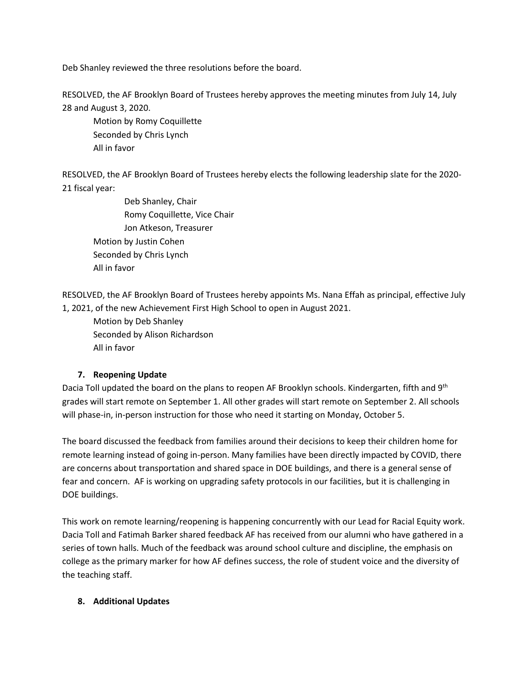Deb Shanley reviewed the three resolutions before the board.

RESOLVED, the AF Brooklyn Board of Trustees hereby approves the meeting minutes from July 14, July 28 and August 3, 2020.

Motion by Romy Coquillette Seconded by Chris Lynch All in favor

RESOLVED, the AF Brooklyn Board of Trustees hereby elects the following leadership slate for the 2020- 21 fiscal year:

Deb Shanley, Chair Romy Coquillette, Vice Chair Jon Atkeson, Treasurer Motion by Justin Cohen Seconded by Chris Lynch All in favor

RESOLVED, the AF Brooklyn Board of Trustees hereby appoints Ms. Nana Effah as principal, effective July 1, 2021, of the new Achievement First High School to open in August 2021.

Motion by Deb Shanley Seconded by Alison Richardson All in favor

### **7. Reopening Update**

Dacia Toll updated the board on the plans to reopen AF Brooklyn schools. Kindergarten, fifth and 9<sup>th</sup> grades will start remote on September 1. All other grades will start remote on September 2. All schools will phase-in, in-person instruction for those who need it starting on Monday, October 5.

The board discussed the feedback from families around their decisions to keep their children home for remote learning instead of going in-person. Many families have been directly impacted by COVID, there are concerns about transportation and shared space in DOE buildings, and there is a general sense of fear and concern. AF is working on upgrading safety protocols in our facilities, but it is challenging in DOE buildings.

This work on remote learning/reopening is happening concurrently with our Lead for Racial Equity work. Dacia Toll and Fatimah Barker shared feedback AF has received from our alumni who have gathered in a series of town halls. Much of the feedback was around school culture and discipline, the emphasis on college as the primary marker for how AF defines success, the role of student voice and the diversity of the teaching staff.

### **8. Additional Updates**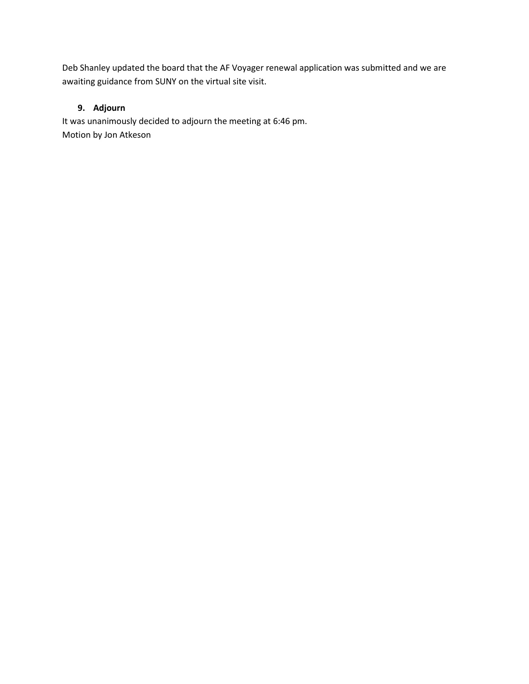Deb Shanley updated the board that the AF Voyager renewal application was submitted and we are awaiting guidance from SUNY on the virtual site visit.

### **9. Adjourn**

It was unanimously decided to adjourn the meeting at 6:46 pm. Motion by Jon Atkeson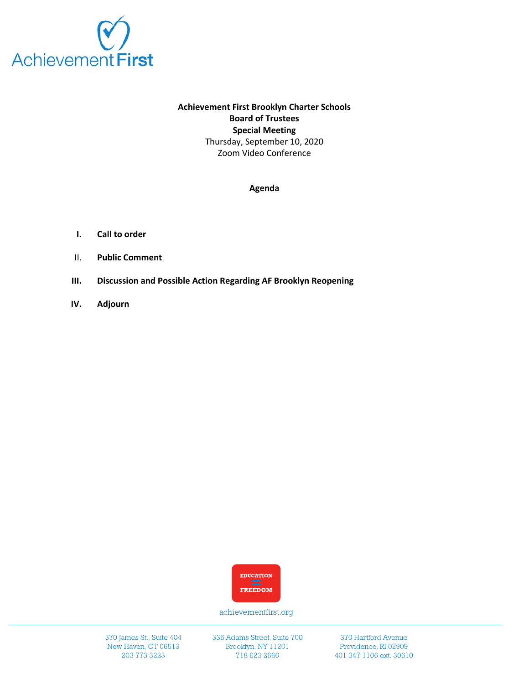

### **Achievement First Brooklyn Charter Schools Board of Trustees Special Meeting** Thursday, September 10, 2020 Zoom Video Conference

#### **Agenda**

- **I. Call to order**
- II. **Public Comment**
- **III. Discussion and Possible Action Regarding AF Brooklyn Reopening**
- **IV. Adjourn**



achievementfirst.org

370 James St., Suite 404 New Haven, CT 06513 203 773 3223

335 Adams Street, Suite 700 Brooklyn, NY 11201 718 623 2660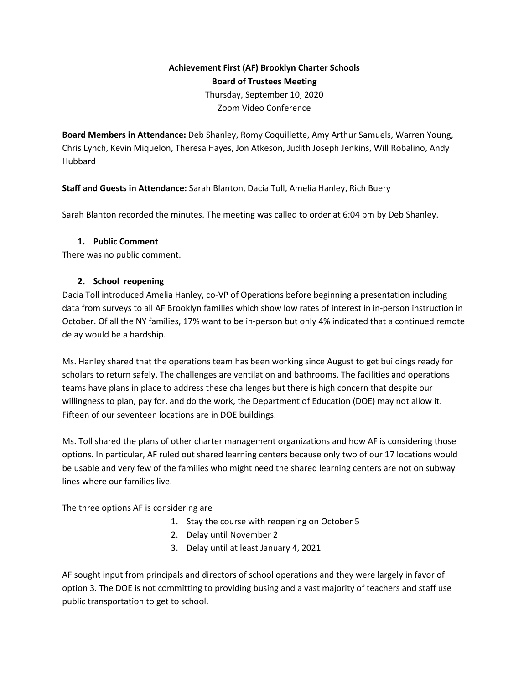# **Achievement First (AF) Brooklyn Charter Schools Board of Trustees Meeting** Thursday, September 10, 2020 Zoom Video Conference

**Board Members in Attendance:** Deb Shanley, Romy Coquillette, Amy Arthur Samuels, Warren Young, Chris Lynch, Kevin Miquelon, Theresa Hayes, Jon Atkeson, Judith Joseph Jenkins, Will Robalino, Andy Hubbard

**Staff and Guests in Attendance:** Sarah Blanton, Dacia Toll, Amelia Hanley, Rich Buery

Sarah Blanton recorded the minutes. The meeting was called to order at 6:04 pm by Deb Shanley.

### **1. Public Comment**

There was no public comment.

### **2. School reopening**

Dacia Toll introduced Amelia Hanley, co-VP of Operations before beginning a presentation including data from surveys to all AF Brooklyn families which show low rates of interest in in-person instruction in October. Of all the NY families, 17% want to be in-person but only 4% indicated that a continued remote delay would be a hardship.

Ms. Hanley shared that the operations team has been working since August to get buildings ready for scholars to return safely. The challenges are ventilation and bathrooms. The facilities and operations teams have plans in place to address these challenges but there is high concern that despite our willingness to plan, pay for, and do the work, the Department of Education (DOE) may not allow it. Fifteen of our seventeen locations are in DOE buildings.

Ms. Toll shared the plans of other charter management organizations and how AF is considering those options. In particular, AF ruled out shared learning centers because only two of our 17 locations would be usable and very few of the families who might need the shared learning centers are not on subway lines where our families live.

The three options AF is considering are

- 1. Stay the course with reopening on October 5
- 2. Delay until November 2
- 3. Delay until at least January 4, 2021

AF sought input from principals and directors of school operations and they were largely in favor of option 3. The DOE is not committing to providing busing and a vast majority of teachers and staff use public transportation to get to school.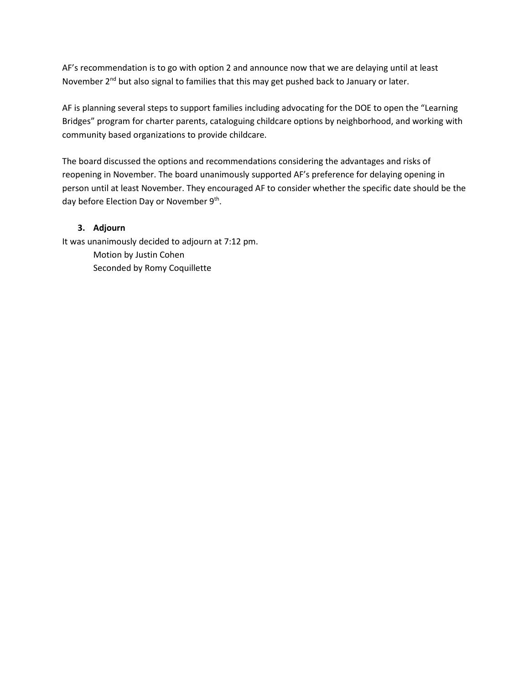AF's recommendation is to go with option 2 and announce now that we are delaying until at least November 2<sup>nd</sup> but also signal to families that this may get pushed back to January or later.

AF is planning several steps to support families including advocating for the DOE to open the "Learning Bridges" program for charter parents, cataloguing childcare options by neighborhood, and working with community based organizations to provide childcare.

The board discussed the options and recommendations considering the advantages and risks of reopening in November. The board unanimously supported AF's preference for delaying opening in person until at least November. They encouraged AF to consider whether the specific date should be the day before Election Day or November 9<sup>th</sup>.

### **3. Adjourn**

It was unanimously decided to adjourn at 7:12 pm.

Motion by Justin Cohen Seconded by Romy Coquillette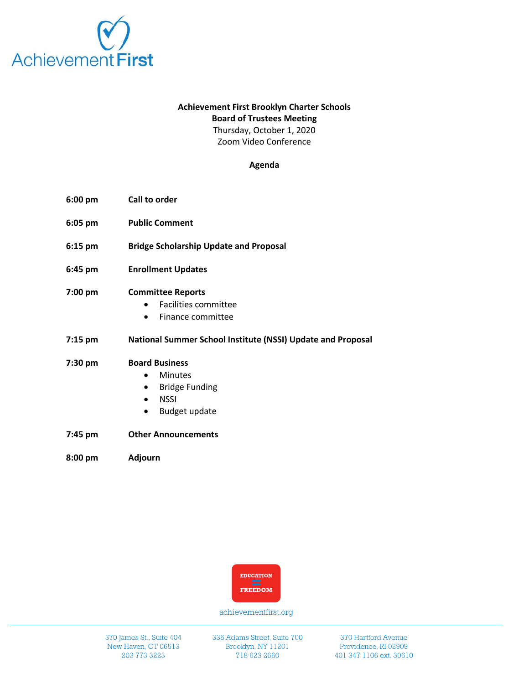

#### **Achievement First Brooklyn Charter Schools Board of Trustees Meeting**

Thursday, October 1, 2020 Zoom Video Conference

#### **Agenda**

- **6:00 pm Call to order**
- **6:05 pm Public Comment**
- **6:15 pm Bridge Scholarship Update and Proposal**
- **6:45 pm Enrollment Updates**
- **7:00 pm Committee Reports**
	- Facilities committee
	- Finance committee

# **7:15 pm National Summer School Institute (NSSI) Update and Proposal**

#### **7:30 pm Board Business**

- Minutes
- Bridge Funding
- NSSI
- Budget update
- **7:45 pm Other Announcements**

**8:00 pm Adjourn** 



achievementfirst.org

370 James St., Suite 404 New Haven, CT 06513 203 773 3223

335 Adams Street, Suite 700 Brooklyn, NY 11201 718 623 2660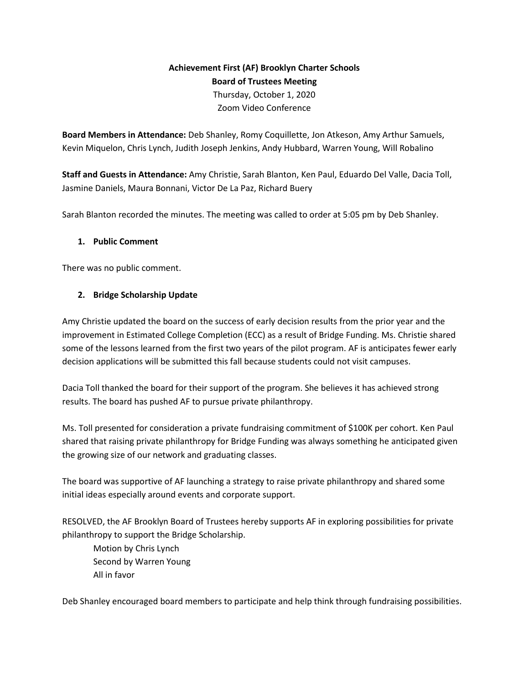# **Achievement First (AF) Brooklyn Charter Schools Board of Trustees Meeting**  Thursday, October 1, 2020 Zoom Video Conference

**Board Members in Attendance:** Deb Shanley, Romy Coquillette, Jon Atkeson, Amy Arthur Samuels, Kevin Miquelon, Chris Lynch, Judith Joseph Jenkins, Andy Hubbard, Warren Young, Will Robalino

**Staff and Guests in Attendance:** Amy Christie, Sarah Blanton, Ken Paul, Eduardo Del Valle, Dacia Toll, Jasmine Daniels, Maura Bonnani, Victor De La Paz, Richard Buery

Sarah Blanton recorded the minutes. The meeting was called to order at 5:05 pm by Deb Shanley.

#### **1. Public Comment**

There was no public comment.

### **2. Bridge Scholarship Update**

Amy Christie updated the board on the success of early decision results from the prior year and the improvement in Estimated College Completion (ECC) as a result of Bridge Funding. Ms. Christie shared some of the lessons learned from the first two years of the pilot program. AF is anticipates fewer early decision applications will be submitted this fall because students could not visit campuses.

Dacia Toll thanked the board for their support of the program. She believes it has achieved strong results. The board has pushed AF to pursue private philanthropy.

Ms. Toll presented for consideration a private fundraising commitment of \$100K per cohort. Ken Paul shared that raising private philanthropy for Bridge Funding was always something he anticipated given the growing size of our network and graduating classes.

The board was supportive of AF launching a strategy to raise private philanthropy and shared some initial ideas especially around events and corporate support.

RESOLVED, the AF Brooklyn Board of Trustees hereby supports AF in exploring possibilities for private philanthropy to support the Bridge Scholarship.

Motion by Chris Lynch Second by Warren Young All in favor

Deb Shanley encouraged board members to participate and help think through fundraising possibilities.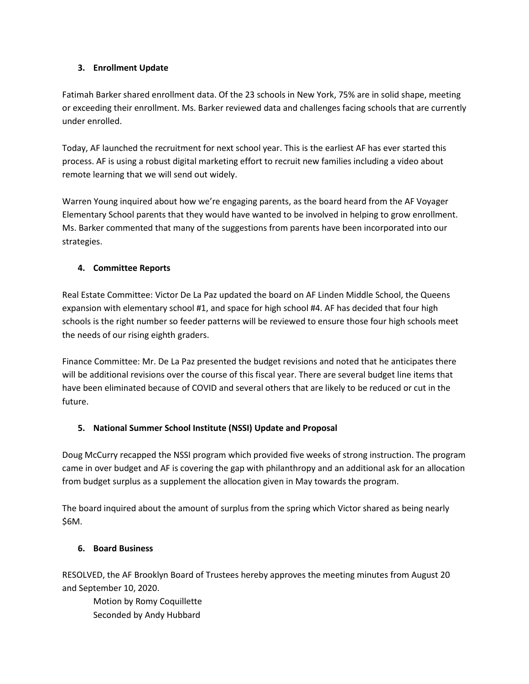### **3. Enrollment Update**

Fatimah Barker shared enrollment data. Of the 23 schools in New York, 75% are in solid shape, meeting or exceeding their enrollment. Ms. Barker reviewed data and challenges facing schools that are currently under enrolled.

Today, AF launched the recruitment for next school year. This is the earliest AF has ever started this process. AF is using a robust digital marketing effort to recruit new families including a video about remote learning that we will send out widely.

Warren Young inquired about how we're engaging parents, as the board heard from the AF Voyager Elementary School parents that they would have wanted to be involved in helping to grow enrollment. Ms. Barker commented that many of the suggestions from parents have been incorporated into our strategies.

### **4. Committee Reports**

Real Estate Committee: Victor De La Paz updated the board on AF Linden Middle School, the Queens expansion with elementary school #1, and space for high school #4. AF has decided that four high schools is the right number so feeder patterns will be reviewed to ensure those four high schools meet the needs of our rising eighth graders.

Finance Committee: Mr. De La Paz presented the budget revisions and noted that he anticipates there will be additional revisions over the course of this fiscal year. There are several budget line items that have been eliminated because of COVID and several others that are likely to be reduced or cut in the future.

### **5. National Summer School Institute (NSSI) Update and Proposal**

Doug McCurry recapped the NSSI program which provided five weeks of strong instruction. The program came in over budget and AF is covering the gap with philanthropy and an additional ask for an allocation from budget surplus as a supplement the allocation given in May towards the program.

The board inquired about the amount of surplus from the spring which Victor shared as being nearly \$6M.

### **6. Board Business**

RESOLVED, the AF Brooklyn Board of Trustees hereby approves the meeting minutes from August 20 and September 10, 2020.

Motion by Romy Coquillette Seconded by Andy Hubbard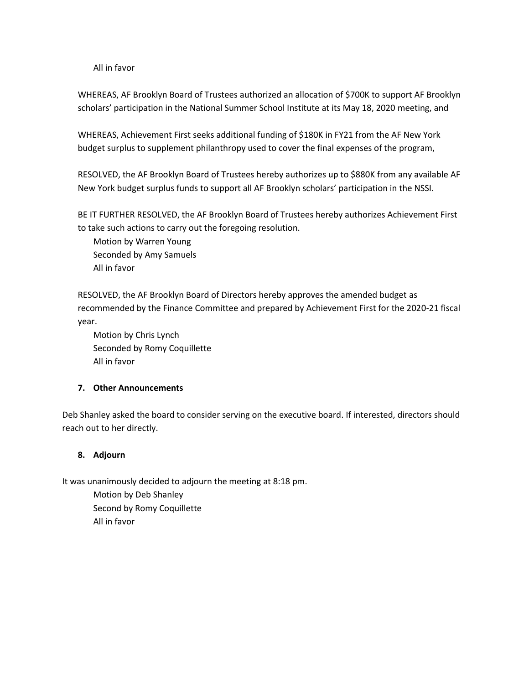All in favor

WHEREAS, AF Brooklyn Board of Trustees authorized an allocation of \$700K to support AF Brooklyn scholars' participation in the National Summer School Institute at its May 18, 2020 meeting, and

WHEREAS, Achievement First seeks additional funding of \$180K in FY21 from the AF New York budget surplus to supplement philanthropy used to cover the final expenses of the program,

RESOLVED, the AF Brooklyn Board of Trustees hereby authorizes up to \$880K from any available AF New York budget surplus funds to support all AF Brooklyn scholars' participation in the NSSI.

BE IT FURTHER RESOLVED, the AF Brooklyn Board of Trustees hereby authorizes Achievement First to take such actions to carry out the foregoing resolution.

Motion by Warren Young Seconded by Amy Samuels All in favor

RESOLVED, the AF Brooklyn Board of Directors hereby approves the amended budget as recommended by the Finance Committee and prepared by Achievement First for the 2020-21 fiscal year.

Motion by Chris Lynch Seconded by Romy Coquillette All in favor

#### **7. Other Announcements**

Deb Shanley asked the board to consider serving on the executive board. If interested, directors should reach out to her directly.

### **8. Adjourn**

It was unanimously decided to adjourn the meeting at 8:18 pm.

Motion by Deb Shanley Second by Romy Coquillette All in favor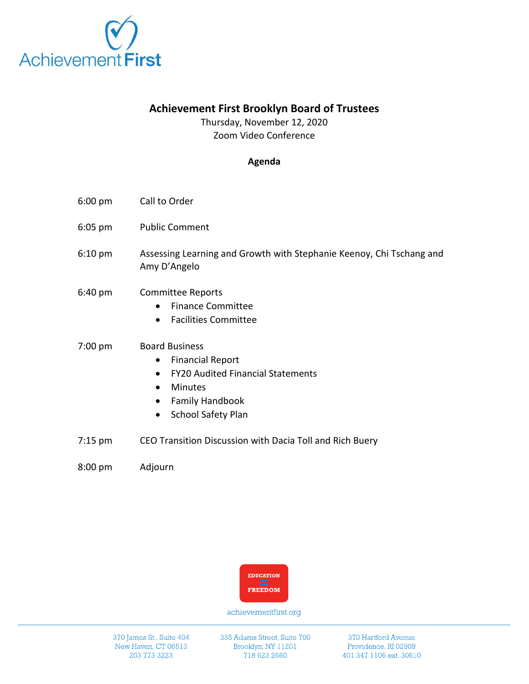

# **Achievement First Brooklyn Board of Trustees**

Thursday, November 12, 2020 Zoom Video Conference

### **Agenda**

- 6:00 pm Call to Order
- 6:05 pm Public Comment
- 6:10 pm Assessing Learning and Growth with Stephanie Keenoy, Chi Tschang and Amy D'Angelo
- 6:40 pm Committee Reports
	- Finance Committee
	- Facilities Committee

### 7:00 pm Board Business

- Financial Report
- FY20 Audited Financial Statements
- Minutes
- Family Handbook
- School Safety Plan
- 7:15 pm CEO Transition Discussion with Dacia Toll and Rich Buery

8:00 pm Adjourn



achievementfirst.org

370 James St., Suite 404 New Haven, CT 06513 203 773 3223

335 Adams Street, Suite 700 Brooklyn, NY 11201 718 623 2660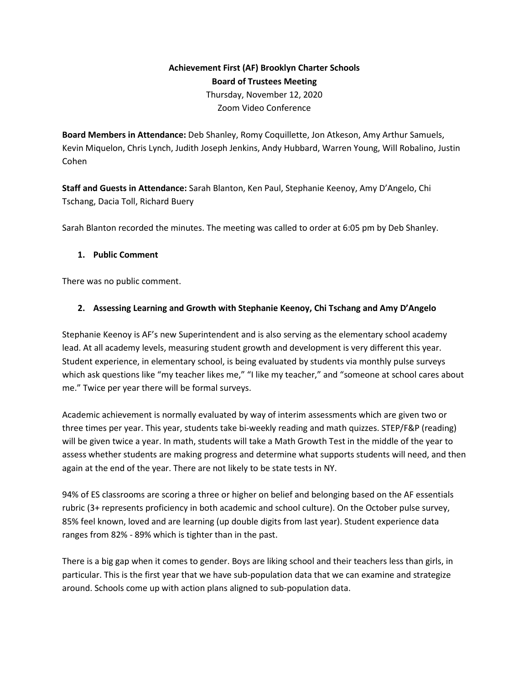# **Achievement First (AF) Brooklyn Charter Schools Board of Trustees Meeting** Thursday, November 12, 2020 Zoom Video Conference

**Board Members in Attendance:** Deb Shanley, Romy Coquillette, Jon Atkeson, Amy Arthur Samuels, Kevin Miquelon, Chris Lynch, Judith Joseph Jenkins, Andy Hubbard, Warren Young, Will Robalino, Justin Cohen

**Staff and Guests in Attendance:** Sarah Blanton, Ken Paul, Stephanie Keenoy, Amy D'Angelo, Chi Tschang, Dacia Toll, Richard Buery

Sarah Blanton recorded the minutes. The meeting was called to order at 6:05 pm by Deb Shanley.

### **1. Public Comment**

There was no public comment.

### **2. Assessing Learning and Growth with Stephanie Keenoy, Chi Tschang and Amy D'Angelo**

Stephanie Keenoy is AF's new Superintendent and is also serving as the elementary school academy lead. At all academy levels, measuring student growth and development is very different this year. Student experience, in elementary school, is being evaluated by students via monthly pulse surveys which ask questions like "my teacher likes me," "I like my teacher," and "someone at school cares about me." Twice per year there will be formal surveys.

Academic achievement is normally evaluated by way of interim assessments which are given two or three times per year. This year, students take bi-weekly reading and math quizzes. STEP/F&P (reading) will be given twice a year. In math, students will take a Math Growth Test in the middle of the year to assess whether students are making progress and determine what supports students will need, and then again at the end of the year. There are not likely to be state tests in NY.

94% of ES classrooms are scoring a three or higher on belief and belonging based on the AF essentials rubric (3+ represents proficiency in both academic and school culture). On the October pulse survey, 85% feel known, loved and are learning (up double digits from last year). Student experience data ranges from 82% - 89% which is tighter than in the past.

There is a big gap when it comes to gender. Boys are liking school and their teachers less than girls, in particular. This is the first year that we have sub-population data that we can examine and strategize around. Schools come up with action plans aligned to sub-population data.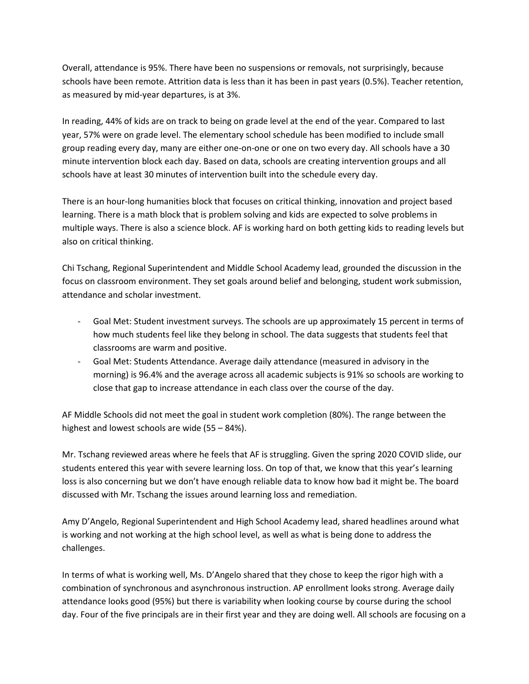Overall, attendance is 95%. There have been no suspensions or removals, not surprisingly, because schools have been remote. Attrition data is less than it has been in past years (0.5%). Teacher retention, as measured by mid-year departures, is at 3%.

In reading, 44% of kids are on track to being on grade level at the end of the year. Compared to last year, 57% were on grade level. The elementary school schedule has been modified to include small group reading every day, many are either one-on-one or one on two every day. All schools have a 30 minute intervention block each day. Based on data, schools are creating intervention groups and all schools have at least 30 minutes of intervention built into the schedule every day.

There is an hour-long humanities block that focuses on critical thinking, innovation and project based learning. There is a math block that is problem solving and kids are expected to solve problems in multiple ways. There is also a science block. AF is working hard on both getting kids to reading levels but also on critical thinking.

Chi Tschang, Regional Superintendent and Middle School Academy lead, grounded the discussion in the focus on classroom environment. They set goals around belief and belonging, student work submission, attendance and scholar investment.

- Goal Met: Student investment surveys. The schools are up approximately 15 percent in terms of how much students feel like they belong in school. The data suggests that students feel that classrooms are warm and positive.
- Goal Met: Students Attendance. Average daily attendance (measured in advisory in the morning) is 96.4% and the average across all academic subjects is 91% so schools are working to close that gap to increase attendance in each class over the course of the day.

AF Middle Schools did not meet the goal in student work completion (80%). The range between the highest and lowest schools are wide (55 – 84%).

Mr. Tschang reviewed areas where he feels that AF is struggling. Given the spring 2020 COVID slide, our students entered this year with severe learning loss. On top of that, we know that this year's learning loss is also concerning but we don't have enough reliable data to know how bad it might be. The board discussed with Mr. Tschang the issues around learning loss and remediation.

Amy D'Angelo, Regional Superintendent and High School Academy lead, shared headlines around what is working and not working at the high school level, as well as what is being done to address the challenges.

In terms of what is working well, Ms. D'Angelo shared that they chose to keep the rigor high with a combination of synchronous and asynchronous instruction. AP enrollment looks strong. Average daily attendance looks good (95%) but there is variability when looking course by course during the school day. Four of the five principals are in their first year and they are doing well. All schools are focusing on a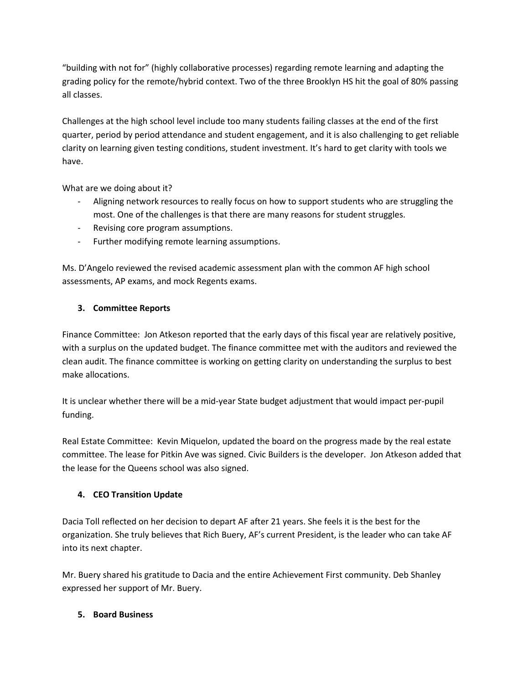"building with not for" (highly collaborative processes) regarding remote learning and adapting the grading policy for the remote/hybrid context. Two of the three Brooklyn HS hit the goal of 80% passing all classes.

Challenges at the high school level include too many students failing classes at the end of the first quarter, period by period attendance and student engagement, and it is also challenging to get reliable clarity on learning given testing conditions, student investment. It's hard to get clarity with tools we have.

What are we doing about it?

- Aligning network resources to really focus on how to support students who are struggling the most. One of the challenges is that there are many reasons for student struggles.
- Revising core program assumptions.
- Further modifying remote learning assumptions.

Ms. D'Angelo reviewed the revised academic assessment plan with the common AF high school assessments, AP exams, and mock Regents exams.

# **3. Committee Reports**

Finance Committee: Jon Atkeson reported that the early days of this fiscal year are relatively positive, with a surplus on the updated budget. The finance committee met with the auditors and reviewed the clean audit. The finance committee is working on getting clarity on understanding the surplus to best make allocations.

It is unclear whether there will be a mid-year State budget adjustment that would impact per-pupil funding.

Real Estate Committee: Kevin Miquelon, updated the board on the progress made by the real estate committee. The lease for Pitkin Ave was signed. Civic Builders is the developer. Jon Atkeson added that the lease for the Queens school was also signed.

### **4. CEO Transition Update**

Dacia Toll reflected on her decision to depart AF after 21 years. She feels it is the best for the organization. She truly believes that Rich Buery, AF's current President, is the leader who can take AF into its next chapter.

Mr. Buery shared his gratitude to Dacia and the entire Achievement First community. Deb Shanley expressed her support of Mr. Buery.

### **5. Board Business**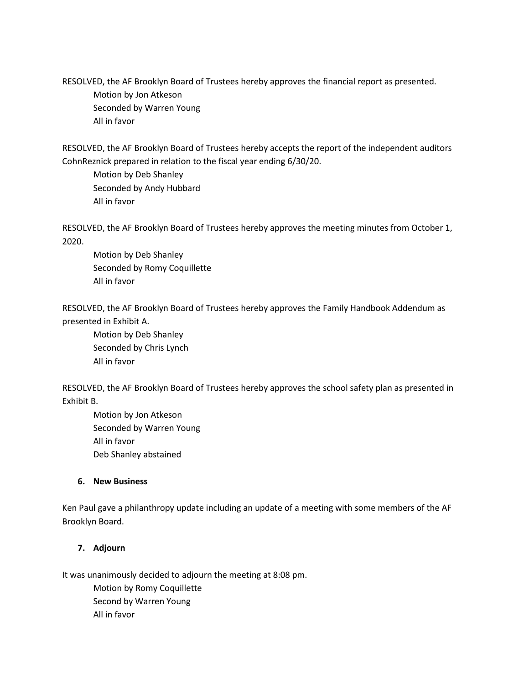RESOLVED, the AF Brooklyn Board of Trustees hereby approves the financial report as presented. Motion by Jon Atkeson Seconded by Warren Young All in favor

RESOLVED, the AF Brooklyn Board of Trustees hereby accepts the report of the independent auditors CohnReznick prepared in relation to the fiscal year ending 6/30/20.

Motion by Deb Shanley Seconded by Andy Hubbard All in favor

RESOLVED, the AF Brooklyn Board of Trustees hereby approves the meeting minutes from October 1, 2020.

Motion by Deb Shanley Seconded by Romy Coquillette All in favor

RESOLVED, the AF Brooklyn Board of Trustees hereby approves the Family Handbook Addendum as presented in Exhibit A.

Motion by Deb Shanley Seconded by Chris Lynch All in favor

RESOLVED, the AF Brooklyn Board of Trustees hereby approves the school safety plan as presented in Exhibit B.

Motion by Jon Atkeson Seconded by Warren Young All in favor Deb Shanley abstained

### **6. New Business**

Ken Paul gave a philanthropy update including an update of a meeting with some members of the AF Brooklyn Board.

### **7. Adjourn**

It was unanimously decided to adjourn the meeting at 8:08 pm.

Motion by Romy Coquillette Second by Warren Young All in favor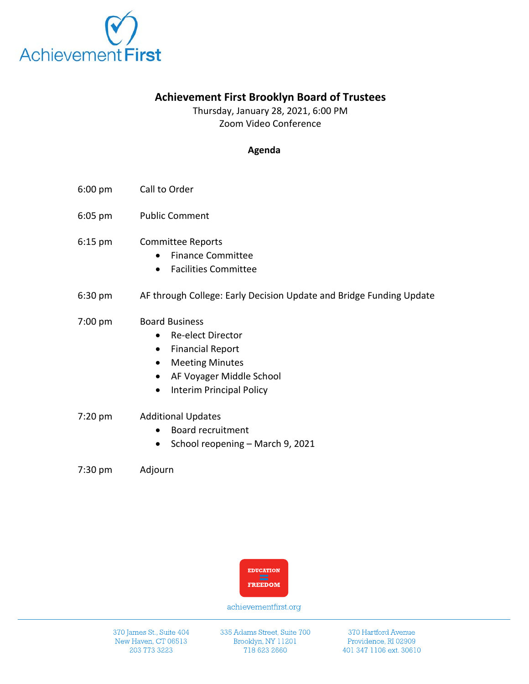

# **Achievement First Brooklyn Board of Trustees**

Thursday, January 28, 2021, 6:00 PM Zoom Video Conference

### **Agenda**

- 6:00 pm Call to Order
- 6:05 pm Public Comment
- 6:15 pm Committee Reports
	- Finance Committee
	- Facilities Committee
- 6:30 pm AF through College: Early Decision Update and Bridge Funding Update

### 7:00 pm Board Business

- Re-elect Director
- Financial Report
- Meeting Minutes
- AF Voyager Middle School
- Interim Principal Policy

#### 7:20 pm Additional Updates

- Board recruitment
- School reopening March 9, 2021

7:30 pm Adjourn



#### achievementfirst.org

370 James St., Suite 404 New Haven, CT 06513 203 773 3223

335 Adams Street, Suite 700 Brooklyn, NY 11201 718 623 2660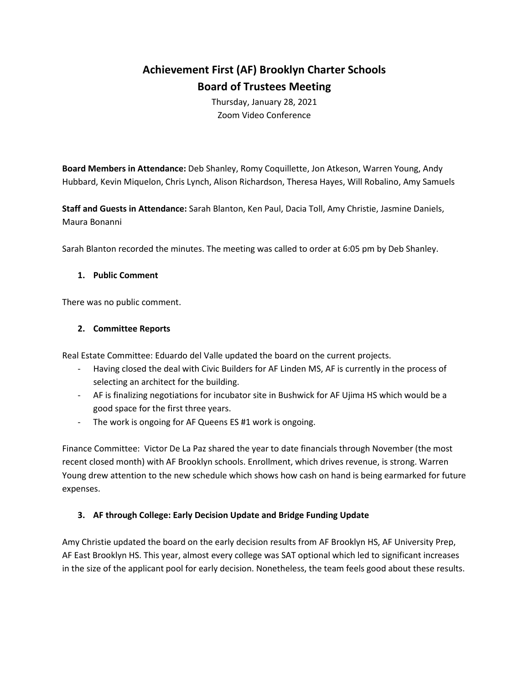# **Achievement First (AF) Brooklyn Charter Schools Board of Trustees Meeting**

Thursday, January 28, 2021 Zoom Video Conference

**Board Members in Attendance:** Deb Shanley, Romy Coquillette, Jon Atkeson, Warren Young, Andy Hubbard, Kevin Miquelon, Chris Lynch, Alison Richardson, Theresa Hayes, Will Robalino, Amy Samuels

**Staff and Guests in Attendance:** Sarah Blanton, Ken Paul, Dacia Toll, Amy Christie, Jasmine Daniels, Maura Bonanni

Sarah Blanton recorded the minutes. The meeting was called to order at 6:05 pm by Deb Shanley.

### **1. Public Comment**

There was no public comment.

### **2. Committee Reports**

Real Estate Committee: Eduardo del Valle updated the board on the current projects.

- Having closed the deal with Civic Builders for AF Linden MS, AF is currently in the process of selecting an architect for the building.
- AF is finalizing negotiations for incubator site in Bushwick for AF Ujima HS which would be a good space for the first three years.
- The work is ongoing for AF Queens ES #1 work is ongoing.

Finance Committee: Victor De La Paz shared the year to date financials through November (the most recent closed month) with AF Brooklyn schools. Enrollment, which drives revenue, is strong. Warren Young drew attention to the new schedule which shows how cash on hand is being earmarked for future expenses.

### **3. AF through College: Early Decision Update and Bridge Funding Update**

Amy Christie updated the board on the early decision results from AF Brooklyn HS, AF University Prep, AF East Brooklyn HS. This year, almost every college was SAT optional which led to significant increases in the size of the applicant pool for early decision. Nonetheless, the team feels good about these results.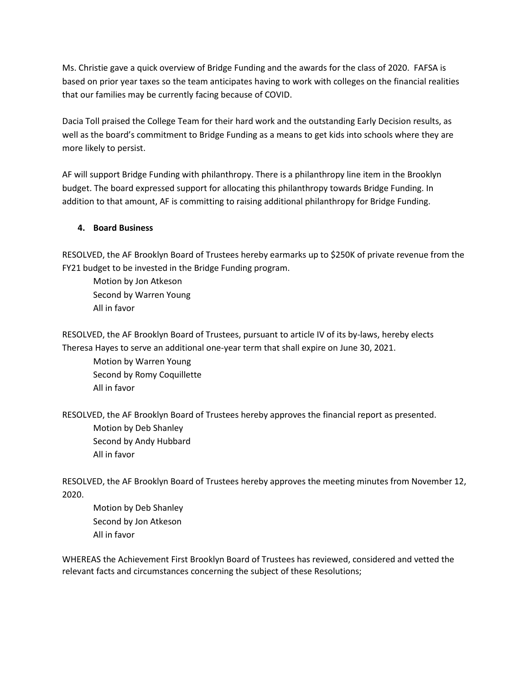Ms. Christie gave a quick overview of Bridge Funding and the awards for the class of 2020. FAFSA is based on prior year taxes so the team anticipates having to work with colleges on the financial realities that our families may be currently facing because of COVID.

Dacia Toll praised the College Team for their hard work and the outstanding Early Decision results, as well as the board's commitment to Bridge Funding as a means to get kids into schools where they are more likely to persist.

AF will support Bridge Funding with philanthropy. There is a philanthropy line item in the Brooklyn budget. The board expressed support for allocating this philanthropy towards Bridge Funding. In addition to that amount, AF is committing to raising additional philanthropy for Bridge Funding.

### **4. Board Business**

RESOLVED, the AF Brooklyn Board of Trustees hereby earmarks up to \$250K of private revenue from the FY21 budget to be invested in the Bridge Funding program.

Motion by Jon Atkeson Second by Warren Young All in favor

RESOLVED, the AF Brooklyn Board of Trustees, pursuant to article IV of its by-laws, hereby elects Theresa Hayes to serve an additional one-year term that shall expire on June 30, 2021.

Motion by Warren Young Second by Romy Coquillette All in favor

RESOLVED, the AF Brooklyn Board of Trustees hereby approves the financial report as presented.

Motion by Deb Shanley Second by Andy Hubbard All in favor

RESOLVED, the AF Brooklyn Board of Trustees hereby approves the meeting minutes from November 12, 2020.

Motion by Deb Shanley Second by Jon Atkeson All in favor

WHEREAS the Achievement First Brooklyn Board of Trustees has reviewed, considered and vetted the relevant facts and circumstances concerning the subject of these Resolutions;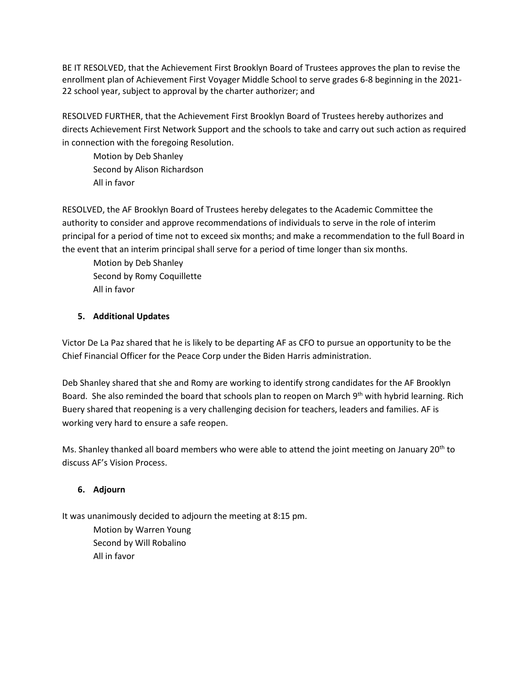BE IT RESOLVED, that the Achievement First Brooklyn Board of Trustees approves the plan to revise the enrollment plan of Achievement First Voyager Middle School to serve grades 6-8 beginning in the 2021- 22 school year, subject to approval by the charter authorizer; and

RESOLVED FURTHER, that the Achievement First Brooklyn Board of Trustees hereby authorizes and directs Achievement First Network Support and the schools to take and carry out such action as required in connection with the foregoing Resolution.

Motion by Deb Shanley Second by Alison Richardson All in favor

RESOLVED, the AF Brooklyn Board of Trustees hereby delegates to the Academic Committee the authority to consider and approve recommendations of individuals to serve in the role of interim principal for a period of time not to exceed six months; and make a recommendation to the full Board in the event that an interim principal shall serve for a period of time longer than six months.

Motion by Deb Shanley Second by Romy Coquillette All in favor

# **5. Additional Updates**

Victor De La Paz shared that he is likely to be departing AF as CFO to pursue an opportunity to be the Chief Financial Officer for the Peace Corp under the Biden Harris administration.

Deb Shanley shared that she and Romy are working to identify strong candidates for the AF Brooklyn Board. She also reminded the board that schools plan to reopen on March 9<sup>th</sup> with hybrid learning. Rich Buery shared that reopening is a very challenging decision for teachers, leaders and families. AF is working very hard to ensure a safe reopen.

Ms. Shanley thanked all board members who were able to attend the joint meeting on January 20<sup>th</sup> to discuss AF's Vision Process.

# **6. Adjourn**

It was unanimously decided to adjourn the meeting at 8:15 pm.

Motion by Warren Young Second by Will Robalino All in favor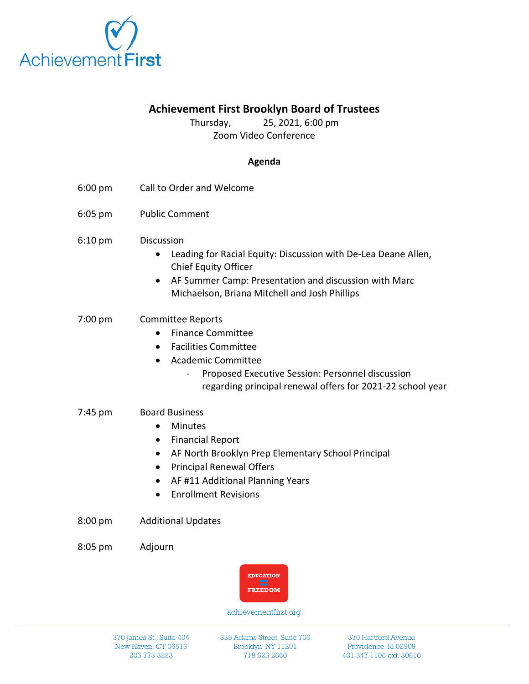

# **Achievement First Brooklyn Board of Trustees**

Thursday, 25, 2021, 6:00 pm Zoom Video Conference

### **Agenda**

- 6:00 pm Call to Order and Welcome
- 6:05 pm Public Comment
- 6:10 pm Discussion
	- Leading for Racial Equity: Discussion with De-Lea Deane Allen, Chief Equity Officer
	- AF Summer Camp: Presentation and discussion with Marc Michaelson, Briana Mitchell and Josh Phillips
- 7:00 pm Committee Reports
	- Finance Committee
	- Facilities Committee
	- Academic Committee
		- Proposed Executive Session: Personnel discussion regarding principal renewal offers for 2021-22 school year
- 7:45 pm Board Business
	- Minutes
	- Financial Report
	- AF North Brooklyn Prep Elementary School Principal
	- Principal Renewal Offers
	- AF #11 Additional Planning Years
	- Enrollment Revisions

8:00 pm Additional Updates

8:05 pm Adjourn



achievementfirst.org

335 Adams Street, Suite 700 Brooklyn, NY 11201 718 623 2660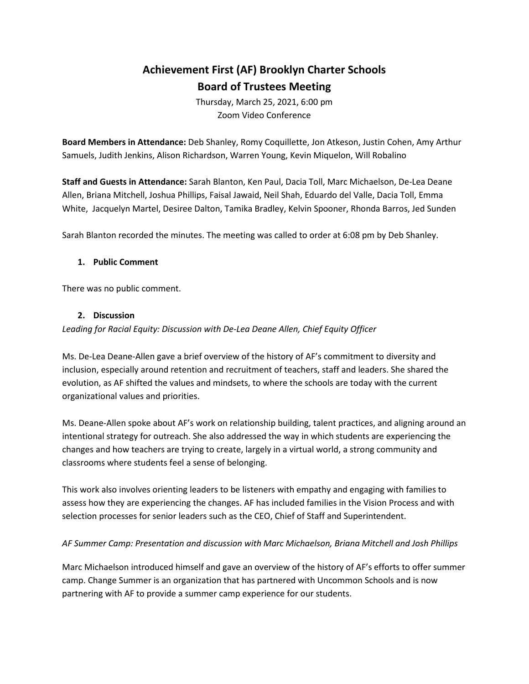# **Achievement First (AF) Brooklyn Charter Schools Board of Trustees Meeting**

Thursday, March 25, 2021, 6:00 pm Zoom Video Conference

**Board Members in Attendance:** Deb Shanley, Romy Coquillette, Jon Atkeson, Justin Cohen, Amy Arthur Samuels, Judith Jenkins, Alison Richardson, Warren Young, Kevin Miquelon, Will Robalino

**Staff and Guests in Attendance:** Sarah Blanton, Ken Paul, Dacia Toll, Marc Michaelson, De-Lea Deane Allen, Briana Mitchell, Joshua Phillips, Faisal Jawaid, Neil Shah, Eduardo del Valle, Dacia Toll, Emma White, Jacquelyn Martel, Desiree Dalton, Tamika Bradley, Kelvin Spooner, Rhonda Barros, Jed Sunden

Sarah Blanton recorded the minutes. The meeting was called to order at 6:08 pm by Deb Shanley.

### **1. Public Comment**

There was no public comment.

### **2. Discussion**

*Leading for Racial Equity: Discussion with De-Lea Deane Allen, Chief Equity Officer*

Ms. De-Lea Deane-Allen gave a brief overview of the history of AF's commitment to diversity and inclusion, especially around retention and recruitment of teachers, staff and leaders. She shared the evolution, as AF shifted the values and mindsets, to where the schools are today with the current organizational values and priorities.

Ms. Deane-Allen spoke about AF's work on relationship building, talent practices, and aligning around an intentional strategy for outreach. She also addressed the way in which students are experiencing the changes and how teachers are trying to create, largely in a virtual world, a strong community and classrooms where students feel a sense of belonging.

This work also involves orienting leaders to be listeners with empathy and engaging with families to assess how they are experiencing the changes. AF has included families in the Vision Process and with selection processes for senior leaders such as the CEO, Chief of Staff and Superintendent.

### *AF Summer Camp: Presentation and discussion with Marc Michaelson, Briana Mitchell and Josh Phillips*

Marc Michaelson introduced himself and gave an overview of the history of AF's efforts to offer summer camp. Change Summer is an organization that has partnered with Uncommon Schools and is now partnering with AF to provide a summer camp experience for our students.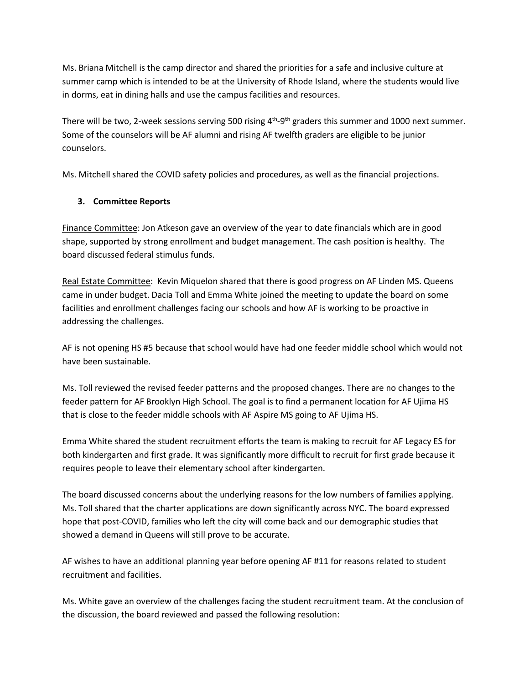Ms. Briana Mitchell is the camp director and shared the priorities for a safe and inclusive culture at summer camp which is intended to be at the University of Rhode Island, where the students would live in dorms, eat in dining halls and use the campus facilities and resources.

There will be two, 2-week sessions serving 500 rising  $4<sup>th</sup>-9<sup>th</sup>$  graders this summer and 1000 next summer. Some of the counselors will be AF alumni and rising AF twelfth graders are eligible to be junior counselors.

Ms. Mitchell shared the COVID safety policies and procedures, as well as the financial projections.

# **3. Committee Reports**

Finance Committee: Jon Atkeson gave an overview of the year to date financials which are in good shape, supported by strong enrollment and budget management. The cash position is healthy. The board discussed federal stimulus funds.

Real Estate Committee: Kevin Miquelon shared that there is good progress on AF Linden MS. Queens came in under budget. Dacia Toll and Emma White joined the meeting to update the board on some facilities and enrollment challenges facing our schools and how AF is working to be proactive in addressing the challenges.

AF is not opening HS #5 because that school would have had one feeder middle school which would not have been sustainable.

Ms. Toll reviewed the revised feeder patterns and the proposed changes. There are no changes to the feeder pattern for AF Brooklyn High School. The goal is to find a permanent location for AF Ujima HS that is close to the feeder middle schools with AF Aspire MS going to AF Ujima HS.

Emma White shared the student recruitment efforts the team is making to recruit for AF Legacy ES for both kindergarten and first grade. It was significantly more difficult to recruit for first grade because it requires people to leave their elementary school after kindergarten.

The board discussed concerns about the underlying reasons for the low numbers of families applying. Ms. Toll shared that the charter applications are down significantly across NYC. The board expressed hope that post-COVID, families who left the city will come back and our demographic studies that showed a demand in Queens will still prove to be accurate.

AF wishes to have an additional planning year before opening AF #11 for reasons related to student recruitment and facilities.

Ms. White gave an overview of the challenges facing the student recruitment team. At the conclusion of the discussion, the board reviewed and passed the following resolution: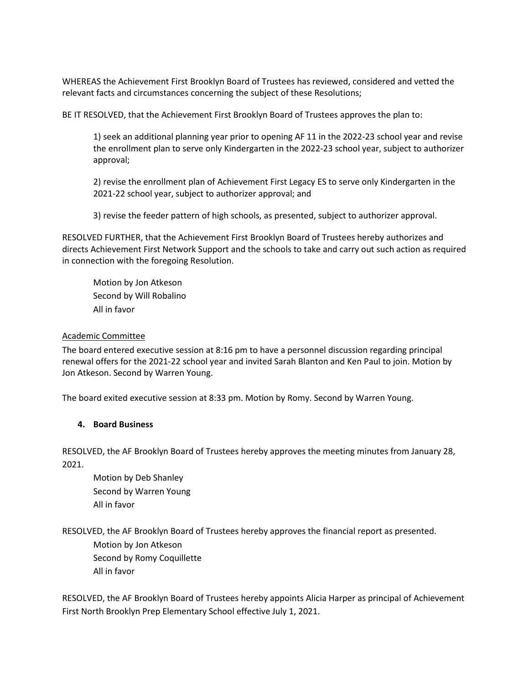WHEREAS the Achievement First Brooklyn Board of Trustees has reviewed, considered and vetted the relevant facts and circumstances concerning the subject of these Resolutions;

BE IT RESOLVED, that the Achievement First Brooklyn Board of Trustees approves the plan to:

1) seek an additional planning year prior to opening AF 11 in the 2022-23 school year and revise the enrollment plan to serve only Kindergarten in the 2022-23 school year, subject to authorizer approval;

2) revise the enrollment plan of Achievement First Legacy ES to serve only Kindergarten in the 2021-22 school year, subject to authorizer approval; and

3) revise the feeder pattern of high schools, as presented, subject to authorizer approval.

RESOLVED FURTHER, that the Achievement First Brooklyn Board of Trustees hereby authorizes and directs Achievement First Network Support and the schools to take and carry out such action as required in connection with the foregoing Resolution.

Motion by Jon Atkeson Second by Will Robalino All in favor

### Academic Committee

The board entered executive session at 8:16 pm to have a personnel discussion regarding principal renewal offers for the 2021-22 school year and invited Sarah Blanton and Ken Paul to join. Motion by Jon Atkeson. Second by Warren Young.

The board exited executive session at 8:33 pm. Motion by Romy. Second by Warren Young.

### **4. Board Business**

RESOLVED, the AF Brooklyn Board of Trustees hereby approves the meeting minutes from January 28, 2021.

Motion by Deb Shanley Second by Warren Young All in favor

RESOLVED, the AF Brooklyn Board of Trustees hereby approves the financial report as presented. Motion by Jon Atkeson Second by Romy Coquillette All in favor

RESOLVED, the AF Brooklyn Board of Trustees hereby appoints Alicia Harper as principal of Achievement First North Brooklyn Prep Elementary School effective July 1, 2021.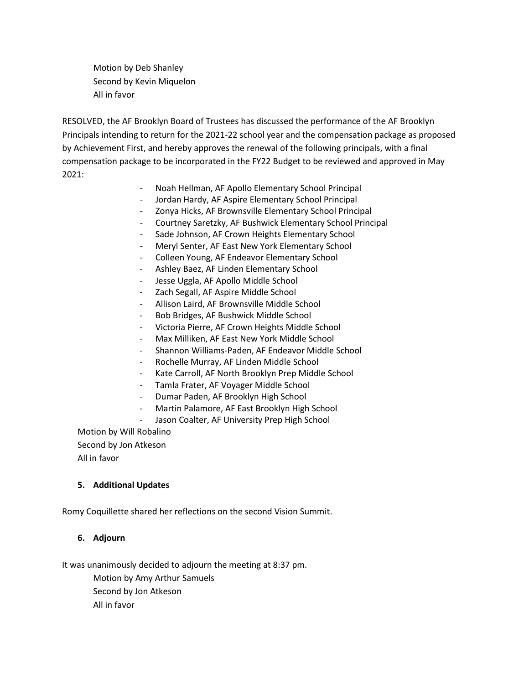Motion by Deb Shanley Second by Kevin Miquelon All in favor

RESOLVED, the AF Brooklyn Board of Trustees has discussed the performance of the AF Brooklyn Principals intending to return for the 2021-22 school year and the compensation package as proposed by Achievement First, and hereby approves the renewal of the following principals, with a final compensation package to be incorporated in the FY22 Budget to be reviewed and approved in May 2021:

- Noah Hellman, AF Apollo Elementary School Principal
- Jordan Hardy, AF Aspire Elementary School Principal
- Zonya Hicks, AF Brownsville Elementary School Principal
- Courtney Saretzky, AF Bushwick Elementary School Principal
- Sade Johnson, AF Crown Heights Elementary School
- Meryl Senter, AF East New York Elementary School
- Colleen Young, AF Endeavor Elementary School
- Ashley Baez, AF Linden Elementary School
- Jesse Uggla, AF Apollo Middle School
- Zach Segall, AF Aspire Middle School
- Allison Laird, AF Brownsville Middle School
- Bob Bridges, AF Bushwick Middle School
- Victoria Pierre, AF Crown Heights Middle School
- Max Milliken, AF East New York Middle School
- Shannon Williams-Paden, AF Endeavor Middle School
- Rochelle Murray, AF Linden Middle School
- Kate Carroll, AF North Brooklyn Prep Middle School
- Tamla Frater, AF Voyager Middle School
- Dumar Paden, AF Brooklyn High School
- Martin Palamore, AF East Brooklyn High School
- Jason Coalter, AF University Prep High School

Motion by Will Robalino

Second by Jon Atkeson

All in favor

#### **5. Additional Updates**

Romy Coquillette shared her reflections on the second Vision Summit.

#### **6. Adjourn**

It was unanimously decided to adjourn the meeting at 8:37 pm.

Motion by Amy Arthur Samuels Second by Jon Atkeson

All in favor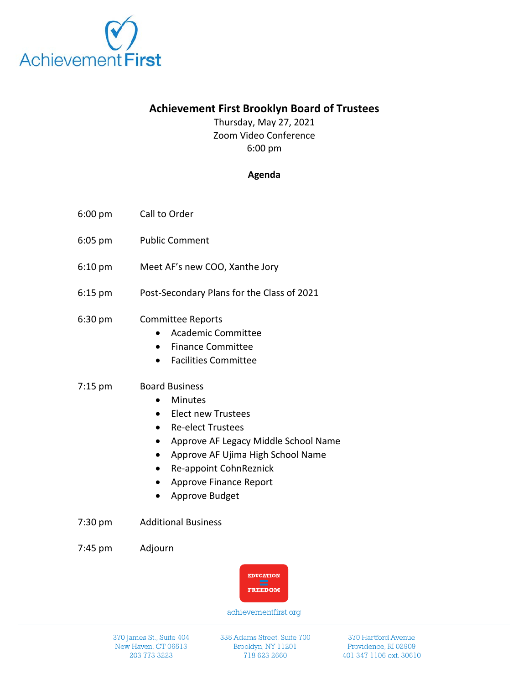

# **Achievement First Brooklyn Board of Trustees**

Thursday, May 27, 2021 Zoom Video Conference 6:00 pm

### **Agenda**

- 6:00 pm Call to Order
- 6:05 pm Public Comment
- 6:10 pm Meet AF's new COO, Xanthe Jory
- 6:15 pm Post-Secondary Plans for the Class of 2021
- 6:30 pm Committee Reports
	- Academic Committee
	- Finance Committee
	- Facilities Committee

### 7:15 pm Board Business

- Minutes
- Elect new Trustees
- Re-elect Trustees
- Approve AF Legacy Middle School Name
- Approve AF Ujima High School Name
- Re-appoint CohnReznick
- Approve Finance Report
- Approve Budget

7:30 pm Additional Business

7:45 pm Adjourn



achievementfirst.org

370 James St., Suite 404 New Haven, CT 06513 203 773 3223

335 Adams Street, Suite 700 Brooklyn, NY 11201 718 623 2660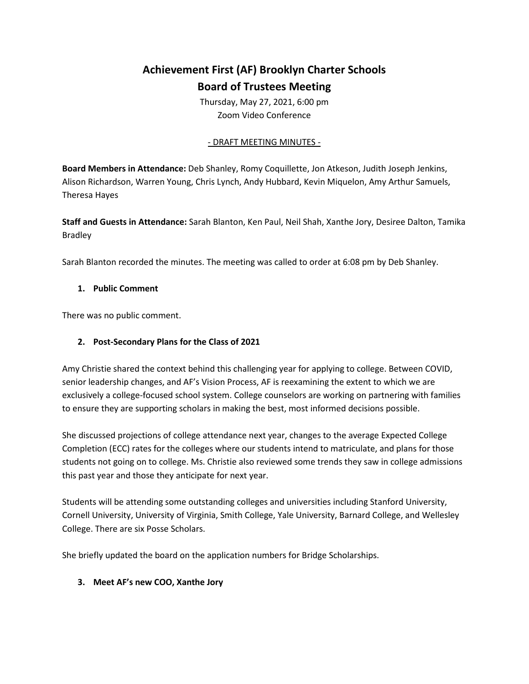# **Achievement First (AF) Brooklyn Charter Schools Board of Trustees Meeting**

Thursday, May 27, 2021, 6:00 pm Zoom Video Conference

### - DRAFT MEETING MINUTES -

**Board Members in Attendance:** Deb Shanley, Romy Coquillette, Jon Atkeson, Judith Joseph Jenkins, Alison Richardson, Warren Young, Chris Lynch, Andy Hubbard, Kevin Miquelon, Amy Arthur Samuels, Theresa Hayes

**Staff and Guests in Attendance:** Sarah Blanton, Ken Paul, Neil Shah, Xanthe Jory, Desiree Dalton, Tamika Bradley

Sarah Blanton recorded the minutes. The meeting was called to order at 6:08 pm by Deb Shanley.

### **1. Public Comment**

There was no public comment.

### **2. Post-Secondary Plans for the Class of 2021**

Amy Christie shared the context behind this challenging year for applying to college. Between COVID, senior leadership changes, and AF's Vision Process, AF is reexamining the extent to which we are exclusively a college-focused school system. College counselors are working on partnering with families to ensure they are supporting scholars in making the best, most informed decisions possible.

She discussed projections of college attendance next year, changes to the average Expected College Completion (ECC) rates for the colleges where our students intend to matriculate, and plans for those students not going on to college. Ms. Christie also reviewed some trends they saw in college admissions this past year and those they anticipate for next year.

Students will be attending some outstanding colleges and universities including Stanford University, Cornell University, University of Virginia, Smith College, Yale University, Barnard College, and Wellesley College. There are six Posse Scholars.

She briefly updated the board on the application numbers for Bridge Scholarships.

### **3. Meet AF's new COO, Xanthe Jory**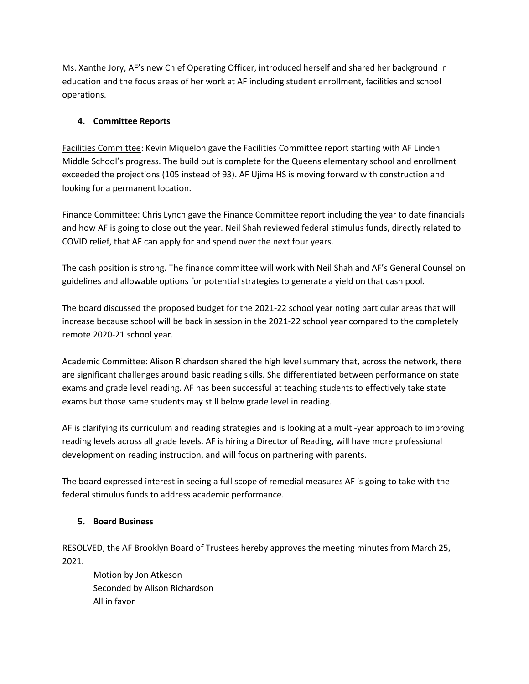Ms. Xanthe Jory, AF's new Chief Operating Officer, introduced herself and shared her background in education and the focus areas of her work at AF including student enrollment, facilities and school operations.

# **4. Committee Reports**

Facilities Committee: Kevin Miquelon gave the Facilities Committee report starting with AF Linden Middle School's progress. The build out is complete for the Queens elementary school and enrollment exceeded the projections (105 instead of 93). AF Ujima HS is moving forward with construction and looking for a permanent location.

Finance Committee: Chris Lynch gave the Finance Committee report including the year to date financials and how AF is going to close out the year. Neil Shah reviewed federal stimulus funds, directly related to COVID relief, that AF can apply for and spend over the next four years.

The cash position is strong. The finance committee will work with Neil Shah and AF's General Counsel on guidelines and allowable options for potential strategies to generate a yield on that cash pool.

The board discussed the proposed budget for the 2021-22 school year noting particular areas that will increase because school will be back in session in the 2021-22 school year compared to the completely remote 2020-21 school year.

Academic Committee: Alison Richardson shared the high level summary that, across the network, there are significant challenges around basic reading skills. She differentiated between performance on state exams and grade level reading. AF has been successful at teaching students to effectively take state exams but those same students may still below grade level in reading.

AF is clarifying its curriculum and reading strategies and is looking at a multi-year approach to improving reading levels across all grade levels. AF is hiring a Director of Reading, will have more professional development on reading instruction, and will focus on partnering with parents.

The board expressed interest in seeing a full scope of remedial measures AF is going to take with the federal stimulus funds to address academic performance.

# **5. Board Business**

RESOLVED, the AF Brooklyn Board of Trustees hereby approves the meeting minutes from March 25, 2021.

Motion by Jon Atkeson Seconded by Alison Richardson All in favor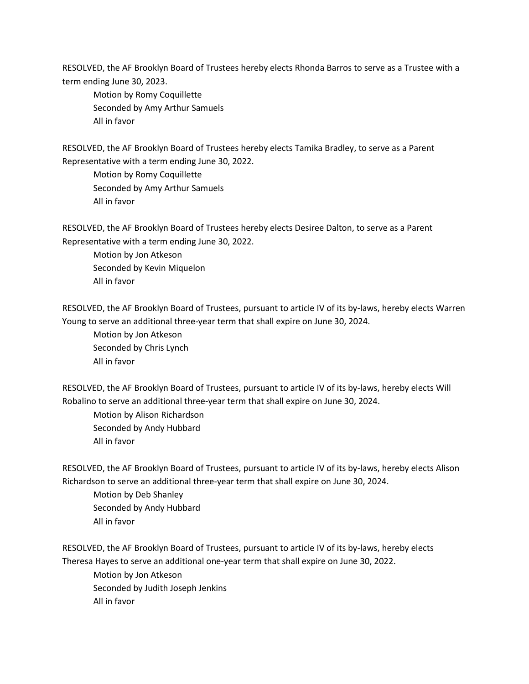RESOLVED, the AF Brooklyn Board of Trustees hereby elects Rhonda Barros to serve as a Trustee with a term ending June 30, 2023.

Motion by Romy Coquillette Seconded by Amy Arthur Samuels All in favor

RESOLVED, the AF Brooklyn Board of Trustees hereby elects Tamika Bradley, to serve as a Parent Representative with a term ending June 30, 2022.

Motion by Romy Coquillette Seconded by Amy Arthur Samuels All in favor

RESOLVED, the AF Brooklyn Board of Trustees hereby elects Desiree Dalton, to serve as a Parent Representative with a term ending June 30, 2022.

Motion by Jon Atkeson Seconded by Kevin Miquelon All in favor

RESOLVED, the AF Brooklyn Board of Trustees, pursuant to article IV of its by-laws, hereby elects Warren Young to serve an additional three-year term that shall expire on June 30, 2024.

Motion by Jon Atkeson Seconded by Chris Lynch All in favor

RESOLVED, the AF Brooklyn Board of Trustees, pursuant to article IV of its by-laws, hereby elects Will Robalino to serve an additional three-year term that shall expire on June 30, 2024.

Motion by Alison Richardson Seconded by Andy Hubbard All in favor

RESOLVED, the AF Brooklyn Board of Trustees, pursuant to article IV of its by-laws, hereby elects Alison Richardson to serve an additional three-year term that shall expire on June 30, 2024.

Motion by Deb Shanley Seconded by Andy Hubbard All in favor

RESOLVED, the AF Brooklyn Board of Trustees, pursuant to article IV of its by-laws, hereby elects Theresa Hayes to serve an additional one-year term that shall expire on June 30, 2022.

Motion by Jon Atkeson Seconded by Judith Joseph Jenkins All in favor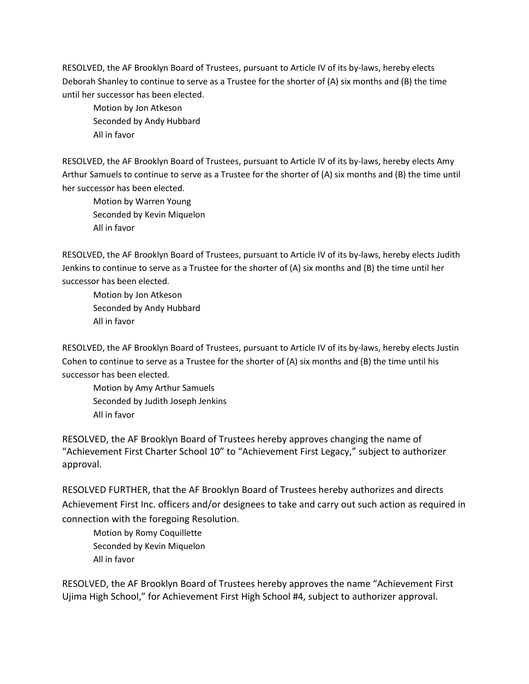RESOLVED, the AF Brooklyn Board of Trustees, pursuant to Article IV of its by-laws, hereby elects Deborah Shanley to continue to serve as a Trustee for the shorter of (A) six months and (B) the time until her successor has been elected.

Motion by Jon Atkeson Seconded by Andy Hubbard All in favor

RESOLVED, the AF Brooklyn Board of Trustees, pursuant to Article IV of its by-laws, hereby elects Amy Arthur Samuels to continue to serve as a Trustee for the shorter of (A) six months and (B) the time until her successor has been elected.

Motion by Warren Young Seconded by Kevin Miquelon All in favor

RESOLVED, the AF Brooklyn Board of Trustees, pursuant to Article IV of its by-laws, hereby elects Judith Jenkins to continue to serve as a Trustee for the shorter of (A) six months and (B) the time until her successor has been elected.

Motion by Jon Atkeson Seconded by Andy Hubbard All in favor

RESOLVED, the AF Brooklyn Board of Trustees, pursuant to Article IV of its by-laws, hereby elects Justin Cohen to continue to serve as a Trustee for the shorter of (A) six months and (B) the time until his successor has been elected.

Motion by Amy Arthur Samuels Seconded by Judith Joseph Jenkins All in favor

RESOLVED, the AF Brooklyn Board of Trustees hereby approves changing the name of "Achievement First Charter School 10" to "Achievement First Legacy," subject to authorizer approval.

RESOLVED FURTHER, that the AF Brooklyn Board of Trustees hereby authorizes and directs Achievement First Inc. officers and/or designees to take and carry out such action as required in connection with the foregoing Resolution.

Motion by Romy Coquillette Seconded by Kevin Miquelon All in favor

RESOLVED, the AF Brooklyn Board of Trustees hereby approves the name "Achievement First Ujima High School," for Achievement First High School #4, subject to authorizer approval.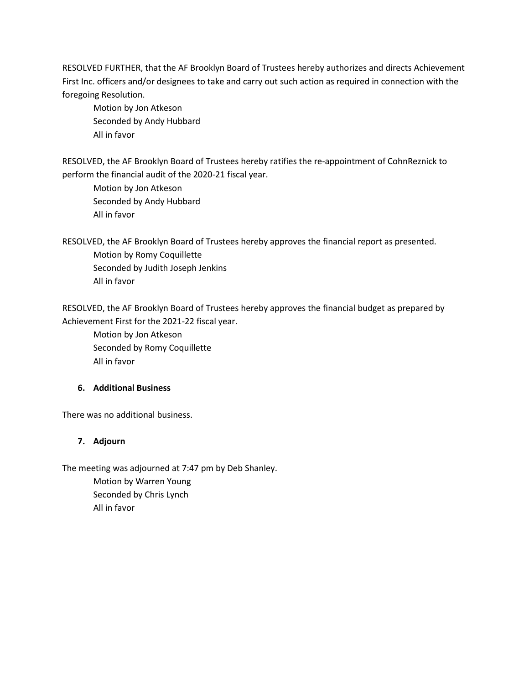RESOLVED FURTHER, that the AF Brooklyn Board of Trustees hereby authorizes and directs Achievement First Inc. officers and/or designees to take and carry out such action as required in connection with the foregoing Resolution.

Motion by Jon Atkeson Seconded by Andy Hubbard All in favor

RESOLVED, the AF Brooklyn Board of Trustees hereby ratifies the re-appointment of CohnReznick to perform the financial audit of the 2020-21 fiscal year.

Motion by Jon Atkeson Seconded by Andy Hubbard All in favor

RESOLVED, the AF Brooklyn Board of Trustees hereby approves the financial report as presented.

Motion by Romy Coquillette Seconded by Judith Joseph Jenkins All in favor

RESOLVED, the AF Brooklyn Board of Trustees hereby approves the financial budget as prepared by Achievement First for the 2021-22 fiscal year.

Motion by Jon Atkeson Seconded by Romy Coquillette All in favor

### **6. Additional Business**

There was no additional business.

### **7. Adjourn**

The meeting was adjourned at 7:47 pm by Deb Shanley.

Motion by Warren Young Seconded by Chris Lynch All in favor